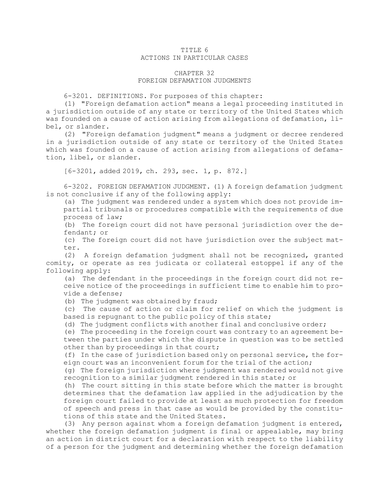## TITLE 6 ACTIONS IN PARTICULAR CASES

## CHAPTER 32 FOREIGN DEFAMATION JUDGMENTS

6-3201. DEFINITIONS. For purposes of this chapter:

(1) "Foreign defamation action" means <sup>a</sup> legal proceeding instituted in <sup>a</sup> jurisdiction outside of any state or territory of the United States which was founded on <sup>a</sup> cause of action arising from allegations of defamation, libel, or slander.

(2) "Foreign defamation judgment" means <sup>a</sup> judgment or decree rendered in <sup>a</sup> jurisdiction outside of any state or territory of the United States which was founded on <sup>a</sup> cause of action arising from allegations of defamation, libel, or slander.

[6-3201, added 2019, ch. 293, sec. 1, p. 872.]

6-3202. FOREIGN DEFAMATION JUDGMENT. (1) <sup>A</sup> foreign defamation judgment is not conclusive if any of the following apply:

(a) The judgment was rendered under <sup>a</sup> system which does not provide impartial tribunals or procedures compatible with the requirements of due process of law;

(b) The foreign court did not have personal jurisdiction over the defendant; or

(c) The foreign court did not have jurisdiction over the subject matter.

(2) <sup>A</sup> foreign defamation judgment shall not be recognized, granted comity, or operate as res judicata or collateral estoppel if any of the following apply:

(a) The defendant in the proceedings in the foreign court did not receive notice of the proceedings in sufficient time to enable him to provide <sup>a</sup> defense;

(b) The judgment was obtained by fraud;

(c) The cause of action or claim for relief on which the judgment is based is repugnant to the public policy of this state;

(d) The judgment conflicts with another final and conclusive order;

(e) The proceeding in the foreign court was contrary to an agreement between the parties under which the dispute in question was to be settled other than by proceedings in that court;

(f) In the case of jurisdiction based only on personal service, the foreign court was an inconvenient forum for the trial of the action;

(g) The foreign jurisdiction where judgment was rendered would not give recognition to <sup>a</sup> similar judgment rendered in this state; or

(h) The court sitting in this state before which the matter is brought determines that the defamation law applied in the adjudication by the foreign court failed to provide at least as much protection for freedom of speech and press in that case as would be provided by the constitutions of this state and the United States.

(3) Any person against whom <sup>a</sup> foreign defamation judgment is entered, whether the foreign defamation judgment is final or appealable, may bring an action in district court for <sup>a</sup> declaration with respect to the liability of <sup>a</sup> person for the judgment and determining whether the foreign defamation